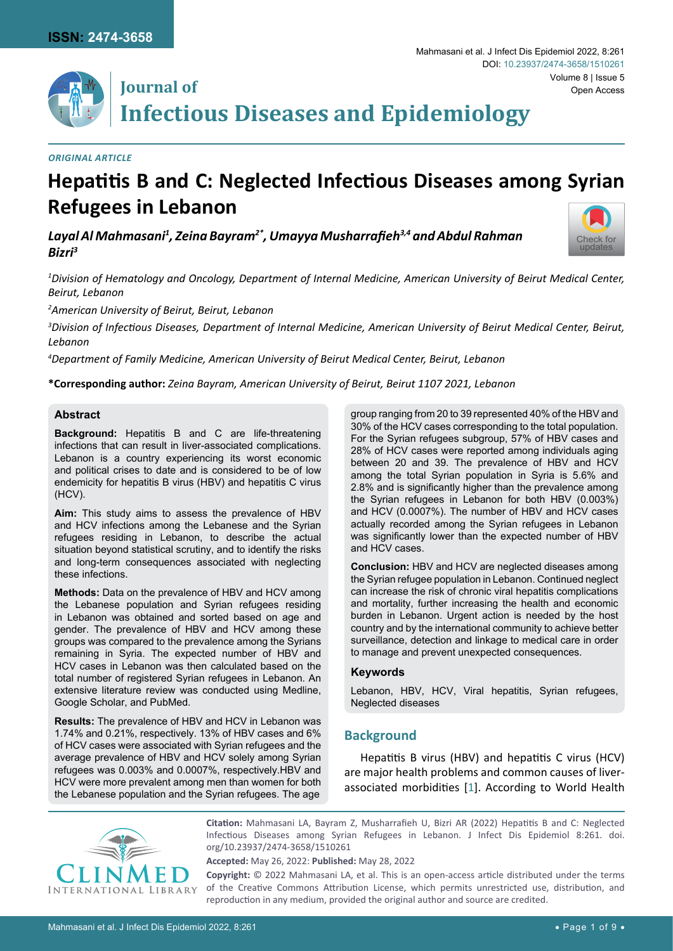

# **Journal of Infectious Diseases and Epidemiology**

# *Original Article*

# **Hepatitis B and C: Neglected Infectious Diseases among Syrian Refugees in Lebanon**

*Layal Al Mahmasani1 , Zeina Bayram2\*, Umayya Musharrafieh3,4 and Abdul Rahman Bizri3*



*1 Division of Hematology and Oncology, Department of Internal Medicine, American University of Beirut Medical Center, Beirut, Lebanon*

*2 American University of Beirut, Beirut, Lebanon*

*3 Division of Infectious Diseases, Department of Internal Medicine, American University of Beirut Medical Center, Beirut, Lebanon*

*4 Department of Family Medicine, American University of Beirut Medical Center, Beirut, Lebanon*

**\*Corresponding author:** *Zeina Bayram, American University of Beirut, Beirut 1107 2021, Lebanon*

# **Abstract**

**Background:** Hepatitis B and C are life-threatening infections that can result in liver-associated complications. Lebanon is a country experiencing its worst economic and political crises to date and is considered to be of low endemicity for hepatitis B virus (HBV) and hepatitis C virus (HCV).

**Aim:** This study aims to assess the prevalence of HBV and HCV infections among the Lebanese and the Syrian refugees residing in Lebanon, to describe the actual situation beyond statistical scrutiny, and to identify the risks and long-term consequences associated with neglecting these infections.

**Methods:** Data on the prevalence of HBV and HCV among the Lebanese population and Syrian refugees residing in Lebanon was obtained and sorted based on age and gender. The prevalence of HBV and HCV among these groups was compared to the prevalence among the Syrians remaining in Syria. The expected number of HBV and HCV cases in Lebanon was then calculated based on the total number of registered Syrian refugees in Lebanon. An extensive literature review was conducted using Medline, Google Scholar, and PubMed.

**Results:** The prevalence of HBV and HCV in Lebanon was 1.74% and 0.21%, respectively. 13% of HBV cases and 6% of HCV cases were associated with Syrian refugees and the average prevalence of HBV and HCV solely among Syrian refugees was 0.003% and 0.0007%, respectively.HBV and HCV were more prevalent among men than women for both the Lebanese population and the Syrian refugees. The age

group ranging from 20 to 39 represented 40% of the HBV and 30% of the HCV cases corresponding to the total population. For the Syrian refugees subgroup, 57% of HBV cases and 28% of HCV cases were reported among individuals aging between 20 and 39. The prevalence of HBV and HCV among the total Syrian population in Syria is 5.6% and 2.8% and is significantly higher than the prevalence among the Syrian refugees in Lebanon for both HBV (0.003%) and HCV (0.0007%). The number of HBV and HCV cases actually recorded among the Syrian refugees in Lebanon was significantly lower than the expected number of HBV and HCV cases.

**Conclusion:** HBV and HCV are neglected diseases among the Syrian refugee population in Lebanon. Continued neglect can increase the risk of chronic viral hepatitis complications and mortality, further increasing the health and economic burden in Lebanon. Urgent action is needed by the host country and by the international community to achieve better surveillance, detection and linkage to medical care in order to manage and prevent unexpected consequences.

# **Keywords**

Lebanon, HBV, HCV, Viral hepatitis, Syrian refugees, Neglected diseases

# **Background**

Hepatitis B virus (HBV) and hepatitis C virus (HCV) are major health problems and common causes of liverassociated morbidities [[1\]](#page-6-0). According to World Health



**Citation:** Mahmasani LA, Bayram Z, Musharrafieh U, Bizri AR (2022) Hepatitis B and C: Neglected Infectious Diseases among Syrian Refugees in Lebanon. J Infect Dis Epidemiol 8:261. [doi.](https://doi.org/10.23937/2474-3658/1510261) [org/10.23937/2474-3658/1510261](https://doi.org/10.23937/2474-3658/1510261)

**Accepted:** May 26, 2022: **Published:** May 28, 2022

**Copyright:** © 2022 Mahmasani LA, et al. This is an open-access article distributed under the terms of the Creative Commons Attribution License, which permits unrestricted use, distribution, and reproduction in any medium, provided the original author and source are credited.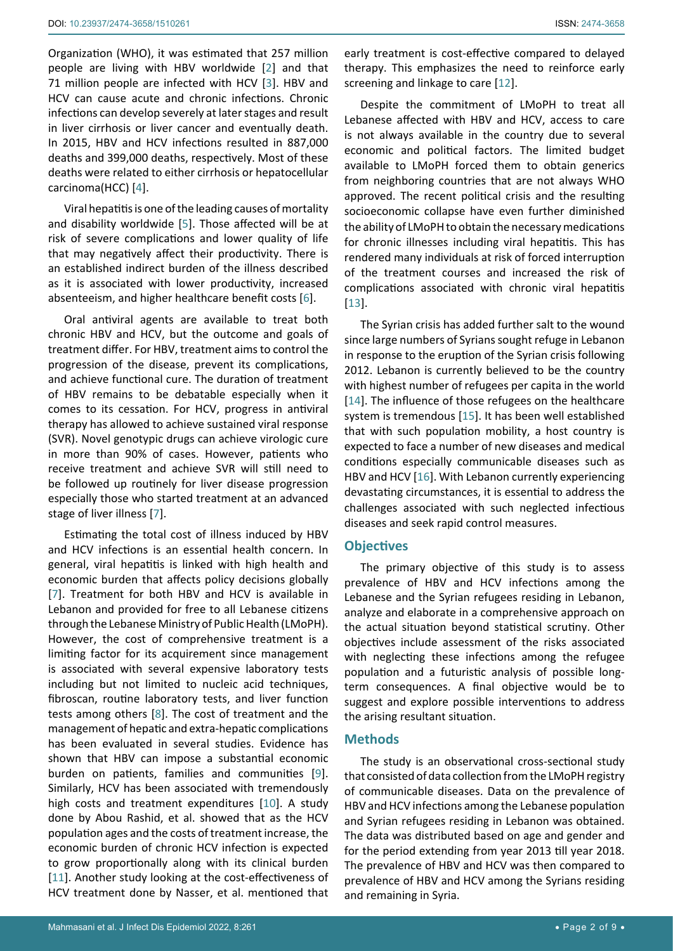Organization (WHO), it was estimated that 257 million people are living with HBV worldwide [\[2\]](#page-6-1) and that 71 million people are infected with HCV [\[3\]](#page-6-2). HBV and HCV can cause acute and chronic infections. Chronic infections can develop severely at later stages and result in liver cirrhosis or liver cancer and eventually death. In 2015, HBV and HCV infections resulted in 887,000 deaths and 399,000 deaths, respectively. Most of these deaths were related to either cirrhosis or hepatocellular carcinoma(HCC) [\[4\]](#page-6-3).

Viral hepatitis is one of the leading causes of mortality and disability worldwide [\[5\]](#page-6-4). Those affected will be at risk of severe complications and lower quality of life that may negatively affect their productivity. There is an established indirect burden of the illness described as it is associated with lower productivity, increased absenteeism, and higher healthcare benefit costs [\[6\]](#page-6-5).

Oral antiviral agents are available to treat both chronic HBV and HCV, but the outcome and goals of treatment differ. For HBV, treatment aims to control the progression of the disease, prevent its complications, and achieve functional cure. The duration of treatment of HBV remains to be debatable especially when it comes to its cessation. For HCV, progress in antiviral therapy has allowed to achieve sustained viral response (SVR). Novel genotypic drugs can achieve virologic cure in more than 90% of cases. However, patients who receive treatment and achieve SVR will still need to be followed up routinely for liver disease progression especially those who started treatment at an advanced stage of liver illness [[7](#page-7-5)].

Estimating the total cost of illness induced by HBV and HCV infections is an essential health concern. In general, viral hepatitis is linked with high health and economic burden that affects policy decisions globally [[7](#page-7-5)]. Treatment for both HBV and HCV is available in Lebanon and provided for free to all Lebanese citizens through the Lebanese Ministry of Public Health (LMoPH). However, the cost of comprehensive treatment is a limiting factor for its acquirement since management is associated with several expensive laboratory tests including but not limited to nucleic acid techniques, fibroscan, routine laboratory tests, and liver function tests among others [\[8\]](#page-7-6). The cost of treatment and the management of hepatic and extra-hepatic complications has been evaluated in several studies. Evidence has shown that HBV can impose a substantial economic burden on patients, families and communities [[9](#page-7-7)]. Similarly, HCV has been associated with tremendously high costs and treatment expenditures [[10](#page-7-8)]. A study done by Abou Rashid, et al. showed that as the HCV population ages and the costs of treatment increase, the economic burden of chronic HCV infection is expected to grow proportionally along with its clinical burden [[11](#page-7-9)]. Another study looking at the cost-effectiveness of HCV treatment done by Nasser, et al. mentioned that

early treatment is cost-effective compared to delayed therapy. This emphasizes the need to reinforce early screening and linkage to care [[12\]](#page-7-0).

Despite the commitment of LMoPH to treat all Lebanese affected with HBV and HCV, access to care is not always available in the country due to several economic and political factors. The limited budget available to LMoPH forced them to obtain generics from neighboring countries that are not always WHO approved. The recent political crisis and the resulting socioeconomic collapse have even further diminished the ability of LMoPH to obtain the necessary medications for chronic illnesses including viral hepatitis. This has rendered many individuals at risk of forced interruption of the treatment courses and increased the risk of complications associated with chronic viral hepatitis [\[13](#page-7-1)].

The Syrian crisis has added further salt to the wound since large numbers of Syrians sought refuge in Lebanon in response to the eruption of the Syrian crisis following 2012. Lebanon is currently believed to be the country with highest number of refugees per capita in the world [\[14](#page-7-2)]. The influence of those refugees on the healthcare system is tremendous [[15](#page-7-3)]. It has been well established that with such population mobility, a host country is expected to face a number of new diseases and medical conditions especially communicable diseases such as HBV and HCV [\[16](#page-7-4)]. With Lebanon currently experiencing devastating circumstances, it is essential to address the challenges associated with such neglected infectious diseases and seek rapid control measures.

#### **Objectives**

The primary objective of this study is to assess prevalence of HBV and HCV infections among the Lebanese and the Syrian refugees residing in Lebanon, analyze and elaborate in a comprehensive approach on the actual situation beyond statistical scrutiny. Other objectives include assessment of the risks associated with neglecting these infections among the refugee population and a futuristic analysis of possible longterm consequences. A final objective would be to suggest and explore possible interventions to address the arising resultant situation.

#### **Methods**

The study is an observational cross-sectional study that consisted of data collection from the LMoPH registry of communicable diseases. Data on the prevalence of HBV and HCV infections among the Lebanese population and Syrian refugees residing in Lebanon was obtained. The data was distributed based on age and gender and for the period extending from year 2013 till year 2018. The prevalence of HBV and HCV was then compared to prevalence of HBV and HCV among the Syrians residing and remaining in Syria.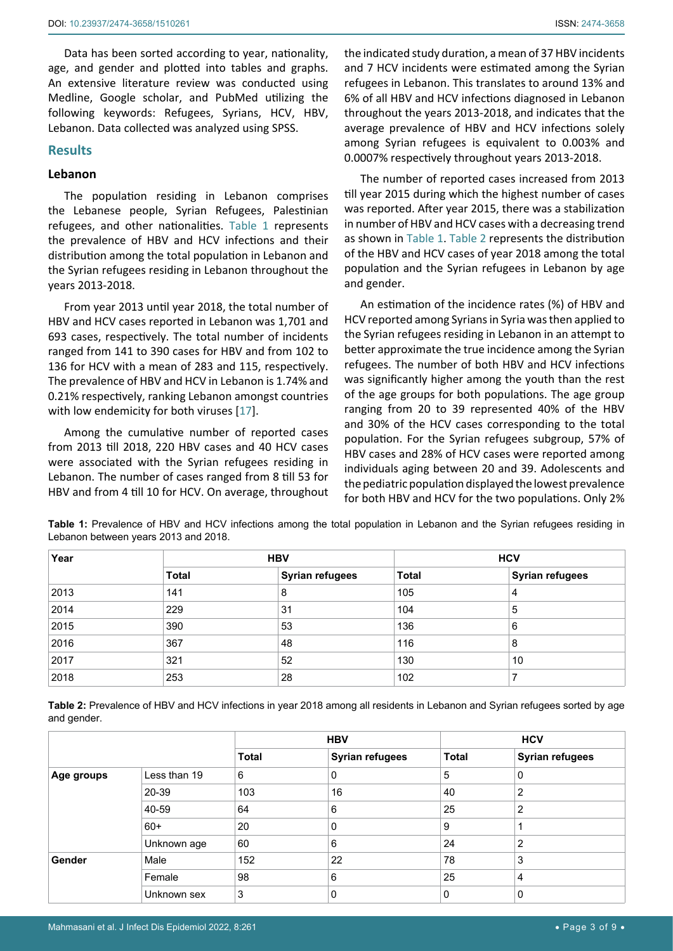Data has been sorted according to year, nationality, age, and gender and plotted into tables and graphs. An extensive literature review was conducted using Medline, Google scholar, and PubMed utilizing the following keywords: Refugees, Syrians, HCV, HBV, Lebanon. Data collected was analyzed using SPSS.

#### **Results**

#### **Lebanon**

The population residing in Lebanon comprises the Lebanese people, Syrian Refugees, Palestinian refugees, and other nationalities. [Table 1](#page-2-0) represents the prevalence of HBV and HCV infections and their distribution among the total population in Lebanon and the Syrian refugees residing in Lebanon throughout the years 2013-2018.

From year 2013 until year 2018, the total number of HBV and HCV cases reported in Lebanon was 1,701 and 693 cases, respectively. The total number of incidents ranged from 141 to 390 cases for HBV and from 102 to 136 for HCV with a mean of 283 and 115, respectively. The prevalence of HBV and HCV in Lebanon is 1.74% and 0.21% respectively, ranking Lebanon amongst countries with low endemicity for both viruses [[17\]](#page-7-10).

Among the cumulative number of reported cases from 2013 till 2018, 220 HBV cases and 40 HCV cases were associated with the Syrian refugees residing in Lebanon. The number of cases ranged from 8 till 53 for HBV and from 4 till 10 for HCV. On average, throughout the indicated study duration, a mean of 37 HBV incidents and 7 HCV incidents were estimated among the Syrian refugees in Lebanon. This translates to around 13% and 6% of all HBV and HCV infections diagnosed in Lebanon throughout the years 2013-2018, and indicates that the average prevalence of HBV and HCV infections solely among Syrian refugees is equivalent to 0.003% and 0.0007% respectively throughout years 2013-2018.

The number of reported cases increased from 2013 till year 2015 during which the highest number of cases was reported. After year 2015, there was a stabilization in number of HBV and HCV cases with a decreasing trend as shown in [Table 1](#page-2-0). [Table 2](#page-2-1) represents the distribution of the HBV and HCV cases of year 2018 among the total population and the Syrian refugees in Lebanon by age and gender.

An estimation of the incidence rates (%) of HBV and HCV reported among Syrians in Syria was then applied to the Syrian refugees residing in Lebanon in an attempt to better approximate the true incidence among the Syrian refugees. The number of both HBV and HCV infections was significantly higher among the youth than the rest of the age groups for both populations. The age group ranging from 20 to 39 represented 40% of the HBV and 30% of the HCV cases corresponding to the total population. For the Syrian refugees subgroup, 57% of HBV cases and 28% of HCV cases were reported among individuals aging between 20 and 39. Adolescents and the pediatric population displayed the lowest prevalence for both HBV and HCV for the two populations. Only 2%

| Year |              | <b>HBV</b>             | <b>HCV</b>   |                        |  |
|------|--------------|------------------------|--------------|------------------------|--|
|      | <b>Total</b> | <b>Syrian refugees</b> | <b>Total</b> | <b>Syrian refugees</b> |  |
| 2013 | 141          | 8                      | 105          | 4                      |  |
| 2014 | 229          | 31                     | 104          | 5                      |  |
| 2015 | 390          | 53                     | 136          | 6                      |  |
| 2016 | 367          | 48                     | 116          | 8                      |  |
| 2017 | 321          | 52                     | 130          | 10                     |  |

<span id="page-2-0"></span>**Table 1:** Prevalence of HBV and HCV infections among the total population in Lebanon and the Syrian refugees residing in Lebanon between years 2013 and 2018.

<span id="page-2-1"></span>**Table 2:** Prevalence of HBV and HCV infections in year 2018 among all residents in Lebanon and Syrian refugees sorted by age and gender.

2018 253 28 102 7

|            |              | <b>HBV</b>   |                        | <b>HCV</b>   |                        |
|------------|--------------|--------------|------------------------|--------------|------------------------|
|            |              | <b>Total</b> | <b>Syrian refugees</b> | <b>Total</b> | <b>Syrian refugees</b> |
| Age groups | Less than 19 | 6            | 0                      | 5            | 0                      |
|            | 20-39        | 103          | 16                     | 40           | 2                      |
|            | 40-59        | 64           | 6                      | 25           | 2                      |
|            | $60+$        | 20           | 0                      | 9            |                        |
|            | Unknown age  | 60           | 6                      | 24           | 2                      |
| Gender     | Male         | 152          | 22                     | 78           | 3                      |
|            | Female       | 98           | 6                      | 25           | 4                      |
|            | Unknown sex  | 3            | 0                      | 0            | 0                      |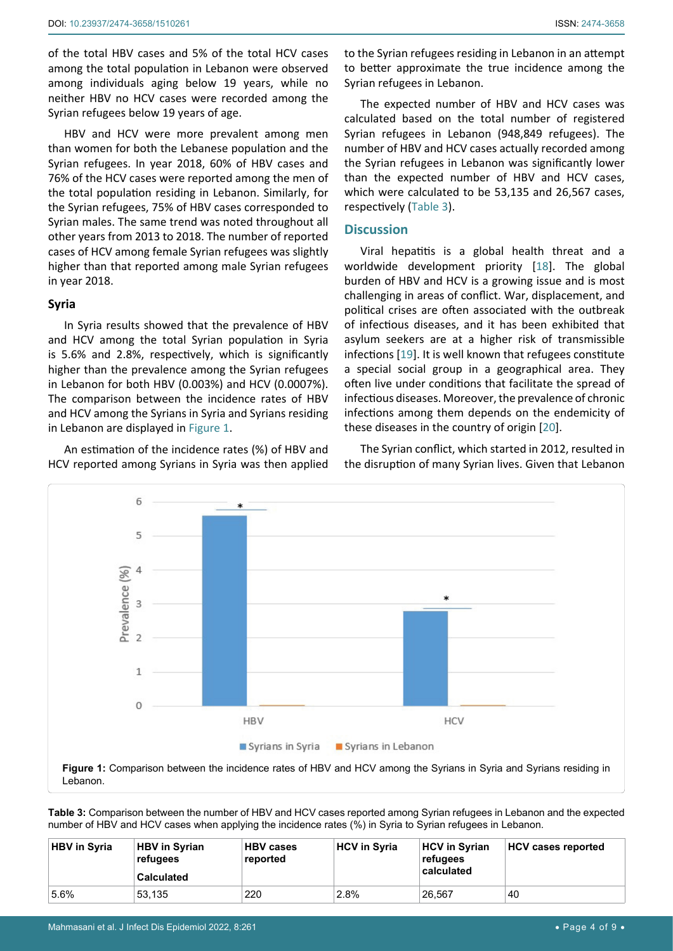of the total HBV cases and 5% of the total HCV cases among the total population in Lebanon were observed among individuals aging below 19 years, while no neither HBV no HCV cases were recorded among the Syrian refugees below 19 years of age.

HBV and HCV were more prevalent among men than women for both the Lebanese population and the Syrian refugees. In year 2018, 60% of HBV cases and 76% of the HCV cases were reported among the men of the total population residing in Lebanon. Similarly, for the Syrian refugees, 75% of HBV cases corresponded to Syrian males. The same trend was noted throughout all other years from 2013 to 2018. The number of reported cases of HCV among female Syrian refugees was slightly higher than that reported among male Syrian refugees in year 2018.

# **Syria**

In Syria results showed that the prevalence of HBV and HCV among the total Syrian population in Syria is 5.6% and 2.8%, respectively, which is significantly higher than the prevalence among the Syrian refugees in Lebanon for both HBV (0.003%) and HCV (0.0007%). The comparison between the incidence rates of HBV and HCV among the Syrians in Syria and Syrians residing in Lebanon are displayed in [Figure 1.](#page-3-1)

An estimation of the incidence rates (%) of HBV and HCV reported among Syrians in Syria was then applied to the Syrian refugees residing in Lebanon in an attempt to better approximate the true incidence among the Syrian refugees in Lebanon.

The expected number of HBV and HCV cases was calculated based on the total number of registered Syrian refugees in Lebanon (948,849 refugees). The number of HBV and HCV cases actually recorded among the Syrian refugees in Lebanon was significantly lower than the expected number of HBV and HCV cases, which were calculated to be 53,135 and 26,567 cases, respectively [\(Table 3\)](#page-3-0).

# **Discussion**

Viral hepatitis is a global health threat and a worldwide development priority [\[18](#page-7-11)]. The global burden of HBV and HCV is a growing issue and is most challenging in areas of conflict. War, displacement, and political crises are often associated with the outbreak of infectious diseases, and it has been exhibited that asylum seekers are at a higher risk of transmissible infections [\[19](#page-7-12)]. It is well known that refugees constitute a special social group in a geographical area. They often live under conditions that facilitate the spread of infectious diseases. Moreover, the prevalence of chronic infections among them depends on the endemicity of these diseases in the country of origin [\[20](#page-7-13)].

The Syrian conflict, which started in 2012, resulted in the disruption of many Syrian lives. Given that Lebanon

<span id="page-3-1"></span>

<span id="page-3-0"></span>**Table 3:** Comparison between the number of HBV and HCV cases reported among Syrian refugees in Lebanon and the expected number of HBV and HCV cases when applying the incidence rates (%) in Syria to Syrian refugees in Lebanon.

| <b>HBV in Syria</b> | <b>HBV in Syrian</b><br>refugees<br><b>Calculated</b> | <b>HBV cases</b><br>reported | <b>HCV in Syria</b> | <b>HCV in Syrian</b><br>refugees<br>calculated | <b>HCV cases reported</b> |
|---------------------|-------------------------------------------------------|------------------------------|---------------------|------------------------------------------------|---------------------------|
| 5.6%                | 53.135                                                | 220                          | 2.8%                | 26.567                                         | 40                        |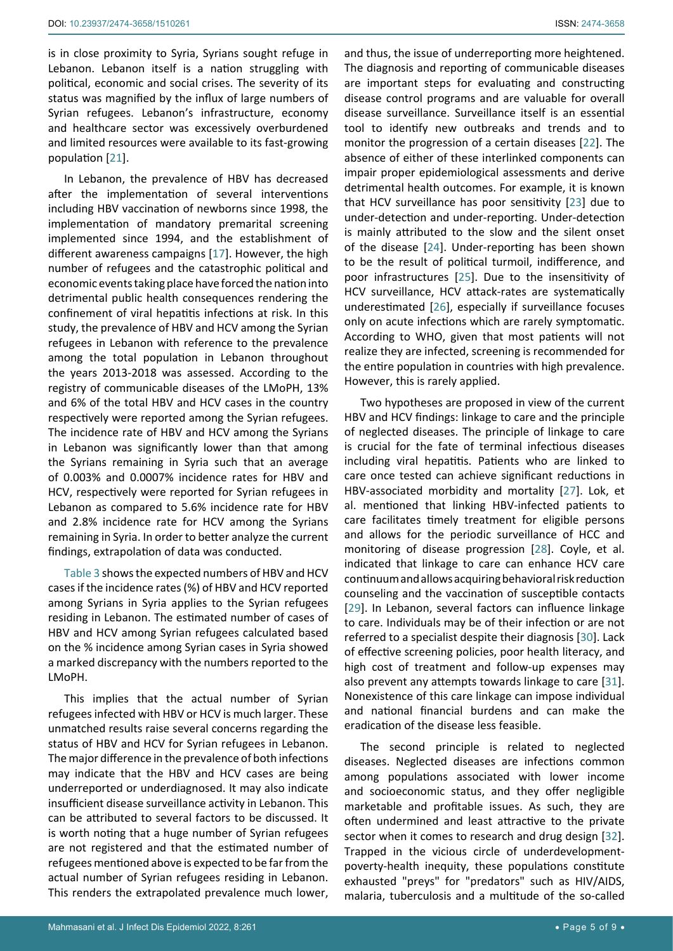is in close proximity to Syria, Syrians sought refuge in Lebanon. Lebanon itself is a nation struggling with political, economic and social crises. The severity of its status was magnified by the influx of large numbers of Syrian refugees. Lebanon's infrastructure, economy and healthcare sector was excessively overburdened and limited resources were available to its fast-growing population [[21](#page-7-25)].

In Lebanon, the prevalence of HBV has decreased after the implementation of several interventions including HBV vaccination of newborns since 1998, the implementation of mandatory premarital screening implemented since 1994, and the establishment of different awareness campaigns [\[17](#page-7-10)]. However, the high number of refugees and the catastrophic political and economic events taking place have forced the nation into detrimental public health consequences rendering the confinement of viral hepatitis infections at risk. In this study, the prevalence of HBV and HCV among the Syrian refugees in Lebanon with reference to the prevalence among the total population in Lebanon throughout the years 2013-2018 was assessed. According to the registry of communicable diseases of the LMoPH, 13% and 6% of the total HBV and HCV cases in the country respectively were reported among the Syrian refugees. The incidence rate of HBV and HCV among the Syrians in Lebanon was significantly lower than that among the Syrians remaining in Syria such that an average of 0.003% and 0.0007% incidence rates for HBV and HCV, respectively were reported for Syrian refugees in Lebanon as compared to 5.6% incidence rate for HBV and 2.8% incidence rate for HCV among the Syrians remaining in Syria. In order to better analyze the current findings, extrapolation of data was conducted.

[Table 3](#page-3-0) shows the expected numbers of HBV and HCV cases if the incidence rates (%) of HBV and HCV reported among Syrians in Syria applies to the Syrian refugees residing in Lebanon. The estimated number of cases of HBV and HCV among Syrian refugees calculated based on the % incidence among Syrian cases in Syria showed a marked discrepancy with the numbers reported to the LMoPH.

This implies that the actual number of Syrian refugees infected with HBV or HCV is much larger. These unmatched results raise several concerns regarding the status of HBV and HCV for Syrian refugees in Lebanon. The major difference in the prevalence of both infections may indicate that the HBV and HCV cases are being underreported or underdiagnosed. It may also indicate insufficient disease surveillance activity in Lebanon. This can be attributed to several factors to be discussed. It is worth noting that a huge number of Syrian refugees are not registered and that the estimated number of refugees mentioned above is expected to be far from the actual number of Syrian refugees residing in Lebanon. This renders the extrapolated prevalence much lower,

and thus, the issue of underreporting more heightened. The diagnosis and reporting of communicable diseases are important steps for evaluating and constructing disease control programs and are valuable for overall disease surveillance. Surveillance itself is an essential tool to identify new outbreaks and trends and to monitor the progression of a certain diseases [[22](#page-7-14)]. The absence of either of these interlinked components can impair proper epidemiological assessments and derive detrimental health outcomes. For example, it is known that HCV surveillance has poor sensitivity [[23\]](#page-7-15) due to under-detection and under-reporting. Under-detection is mainly attributed to the slow and the silent onset of the disease [\[24](#page-7-16)]. Under-reporting has been shown to be the result of political turmoil, indifference, and poor infrastructures [[25\]](#page-7-17). Due to the insensitivity of HCV surveillance, HCV attack-rates are systematically underestimated [[26\]](#page-7-18), especially if surveillance focuses only on acute infections which are rarely symptomatic. According to WHO, given that most patients will not realize they are infected, screening is recommended for the entire population in countries with high prevalence. However, this is rarely applied.

Two hypotheses are proposed in view of the current HBV and HCV findings: linkage to care and the principle of neglected diseases. The principle of linkage to care is crucial for the fate of terminal infectious diseases including viral hepatitis. Patients who are linked to care once tested can achieve significant reductions in HBV-associated morbidity and mortality [\[27\]](#page-7-19). Lok, et al. mentioned that linking HBV-infected patients to care facilitates timely treatment for eligible persons and allows for the periodic surveillance of HCC and monitoring of disease progression [\[28](#page-7-20)]. Coyle, et al. indicated that linkage to care can enhance HCV care continuum and allows acquiring behavioral risk reduction counseling and the vaccination of susceptible contacts [\[29](#page-7-21)]. In Lebanon, several factors can influence linkage to care. Individuals may be of their infection or are not referred to a specialist despite their diagnosis [[30\]](#page-7-22). Lack of effective screening policies, poor health literacy, and high cost of treatment and follow-up expenses may also prevent any attempts towards linkage to care [\[31\]](#page-7-23). Nonexistence of this care linkage can impose individual and national financial burdens and can make the eradication of the disease less feasible.

The second principle is related to neglected diseases. Neglected diseases are infections common among populations associated with lower income and socioeconomic status, and they offer negligible marketable and profitable issues. As such, they are often undermined and least attractive to the private sector when it comes to research and drug design [\[32\]](#page-7-24). Trapped in the vicious circle of underdevelopmentpoverty-health inequity, these populations constitute exhausted "preys" for "predators" such as HIV/AIDS, malaria, tuberculosis and a multitude of the so-called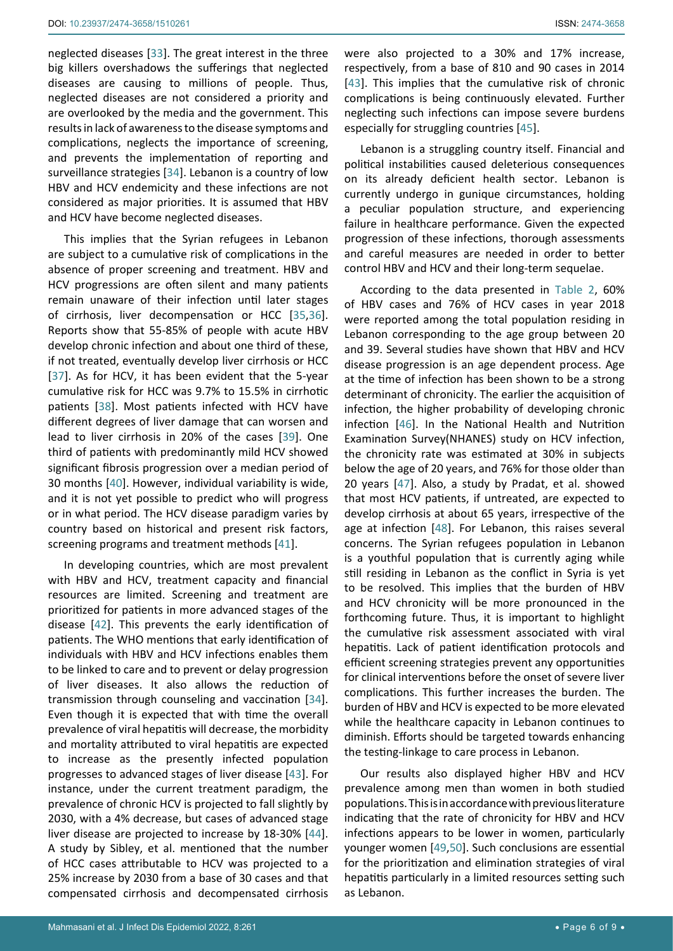neglected diseases [\[33](#page-7-27)]. The great interest in the three big killers overshadows the sufferings that neglected diseases are causing to millions of people. Thus, neglected diseases are not considered a priority and are overlooked by the media and the government. This results in lack of awareness to the disease symptoms and complications, neglects the importance of screening, and prevents the implementation of reporting and surveillance strategies [[34\]](#page-7-28). Lebanon is a country of low HBV and HCV endemicity and these infections are not considered as major priorities. It is assumed that HBV and HCV have become neglected diseases.

This implies that the Syrian refugees in Lebanon are subject to a cumulative risk of complications in the absence of proper screening and treatment. HBV and HCV progressions are often silent and many patients remain unaware of their infection until later stages of cirrhosis, liver decompensation or HCC [\[35](#page-7-29),[36](#page-7-30)]. Reports show that 55-85% of people with acute HBV develop chronic infection and about one third of these, if not treated, eventually develop liver cirrhosis or HCC [[37](#page-7-31)]. As for HCV, it has been evident that the 5-year cumulative risk for HCC was 9.7% to 15.5% in cirrhotic patients [\[38](#page-7-32)]. Most patients infected with HCV have different degrees of liver damage that can worsen and lead to liver cirrhosis in 20% of the cases [[39](#page-7-33)]. One third of patients with predominantly mild HCV showed significant fibrosis progression over a median period of 30 months [\[40](#page-7-34)]. However, individual variability is wide, and it is not yet possible to predict who will progress or in what period. The HCV disease paradigm varies by country based on historical and present risk factors, screening programs and treatment methods [\[41](#page-7-35)].

In developing countries, which are most prevalent with HBV and HCV, treatment capacity and financial resources are limited. Screening and treatment are prioritized for patients in more advanced stages of the disease [[42\]](#page-7-36). This prevents the early identification of patients. The WHO mentions that early identification of individuals with HBV and HCV infections enables them to be linked to care and to prevent or delay progression of liver diseases. It also allows the reduction of transmission through counseling and vaccination [\[34](#page-7-28)]. Even though it is expected that with time the overall prevalence of viral hepatitis will decrease, the morbidity and mortality attributed to viral hepatitis are expected to increase as the presently infected population progresses to advanced stages of liver disease [[43\]](#page-7-26). For instance, under the current treatment paradigm, the prevalence of chronic HCV is projected to fall slightly by 2030, with a 4% decrease, but cases of advanced stage liver disease are projected to increase by 18-30% [\[44](#page-7-37)]. A study by Sibley, et al. mentioned that the number of HCC cases attributable to HCV was projected to a 25% increase by 2030 from a base of 30 cases and that compensated cirrhosis and decompensated cirrhosis

were also projected to a 30% and 17% increase, respectively, from a base of 810 and 90 cases in 2014 [\[43](#page-7-26)]. This implies that the cumulative risk of chronic complications is being continuously elevated. Further neglecting such infections can impose severe burdens especially for struggling countries [\[45](#page-8-0)].

Lebanon is a struggling country itself. Financial and political instabilities caused deleterious consequences on its already deficient health sector. Lebanon is currently undergo in gunique circumstances, holding a peculiar population structure, and experiencing failure in healthcare performance. Given the expected progression of these infections, thorough assessments and careful measures are needed in order to better control HBV and HCV and their long-term sequelae.

According to the data presented in [Table 2](#page-2-1), 60% of HBV cases and 76% of HCV cases in year 2018 were reported among the total population residing in Lebanon corresponding to the age group between 20 and 39. Several studies have shown that HBV and HCV disease progression is an age dependent process. Age at the time of infection has been shown to be a strong determinant of chronicity. The earlier the acquisition of infection, the higher probability of developing chronic infection [\[46](#page-8-1)]. In the National Health and Nutrition Examination Survey(NHANES) study on HCV infection, the chronicity rate was estimated at 30% in subjects below the age of 20 years, and 76% for those older than 20 years [[47\]](#page-8-2). Also, a study by Pradat, et al. showed that most HCV patients, if untreated, are expected to develop cirrhosis at about 65 years, irrespective of the age at infection [[48](#page-8-3)]. For Lebanon, this raises several concerns. The Syrian refugees population in Lebanon is a youthful population that is currently aging while still residing in Lebanon as the conflict in Syria is yet to be resolved. This implies that the burden of HBV and HCV chronicity will be more pronounced in the forthcoming future. Thus, it is important to highlight the cumulative risk assessment associated with viral hepatitis. Lack of patient identification protocols and efficient screening strategies prevent any opportunities for clinical interventions before the onset of severe liver complications. This further increases the burden. The burden of HBV and HCV is expected to be more elevated while the healthcare capacity in Lebanon continues to diminish. Efforts should be targeted towards enhancing the testing-linkage to care process in Lebanon.

Our results also displayed higher HBV and HCV prevalence among men than women in both studied populations. This is in accordance with previous literature indicating that the rate of chronicity for HBV and HCV infections appears to be lower in women, particularly younger women [[49](#page-8-4),[50\]](#page-8-5). Such conclusions are essential for the prioritization and elimination strategies of viral hepatitis particularly in a limited resources setting such as Lebanon.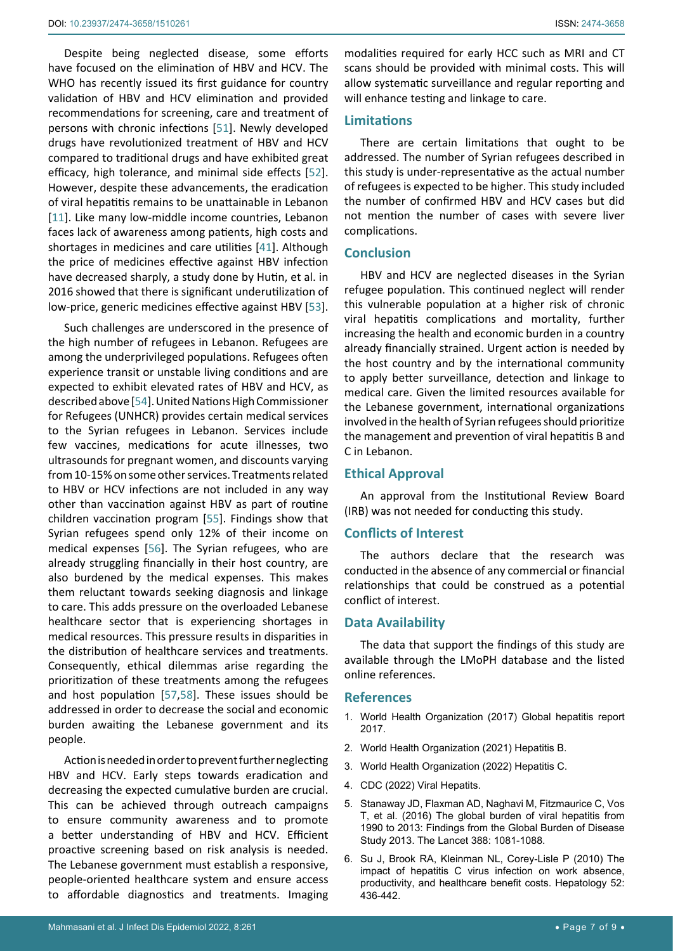Despite being neglected disease, some efforts have focused on the elimination of HBV and HCV. The WHO has recently issued its first guidance for country validation of HBV and HCV elimination and provided recommendations for screening, care and treatment of persons with chronic infections [\[51\]](#page-8-6). Newly developed drugs have revolutionized treatment of HBV and HCV compared to traditional drugs and have exhibited great efficacy, high tolerance, and minimal side effects [\[52](#page-8-7)]. However, despite these advancements, the eradication of viral hepatitis remains to be unattainable in Lebanon [[11](#page-7-9)]. Like many low-middle income countries, Lebanon faces lack of awareness among patients, high costs and shortages in medicines and care utilities [\[41\]](#page-7-35). Although the price of medicines effective against HBV infection have decreased sharply, a study done by Hutin, et al. in 2016 showed that there is significant underutilization of low-price, generic medicines effective against HBV [\[53](#page-8-8)].

Such challenges are underscored in the presence of the high number of refugees in Lebanon. Refugees are among the underprivileged populations. Refugees often experience transit or unstable living conditions and are expected to exhibit elevated rates of HBV and HCV, as described above [\[54](#page-8-9)]. United Nations High Commissioner for Refugees (UNHCR) provides certain medical services to the Syrian refugees in Lebanon. Services include few vaccines, medications for acute illnesses, two ultrasounds for pregnant women, and discounts varying from 10-15% on some other services. Treatments related to HBV or HCV infections are not included in any way other than vaccination against HBV as part of routine children vaccination program [[55](#page-8-10)]. Findings show that Syrian refugees spend only 12% of their income on medical expenses [\[56](#page-8-11)]. The Syrian refugees, who are already struggling financially in their host country, are also burdened by the medical expenses. This makes them reluctant towards seeking diagnosis and linkage to care. This adds pressure on the overloaded Lebanese healthcare sector that is experiencing shortages in medical resources. This pressure results in disparities in the distribution of healthcare services and treatments. Consequently, ethical dilemmas arise regarding the prioritization of these treatments among the refugees and host population [[57](#page-8-12),[58\]](#page-8-13). These issues should be addressed in order to decrease the social and economic burden awaiting the Lebanese government and its people.

Action is needed in order to prevent further neglecting HBV and HCV. Early steps towards eradication and decreasing the expected cumulative burden are crucial. This can be achieved through outreach campaigns to ensure community awareness and to promote a better understanding of HBV and HCV. Efficient proactive screening based on risk analysis is needed. The Lebanese government must establish a responsive, people-oriented healthcare system and ensure access to affordable diagnostics and treatments. Imaging

modalities required for early HCC such as MRI and CT scans should be provided with minimal costs. This will allow systematic surveillance and regular reporting and will enhance testing and linkage to care.

# **Limitations**

There are certain limitations that ought to be addressed. The number of Syrian refugees described in this study is under-representative as the actual number of refugees is expected to be higher. This study included the number of confirmed HBV and HCV cases but did not mention the number of cases with severe liver complications.

#### **Conclusion**

HBV and HCV are neglected diseases in the Syrian refugee population. This continued neglect will render this vulnerable population at a higher risk of chronic viral hepatitis complications and mortality, further increasing the health and economic burden in a country already financially strained. Urgent action is needed by the host country and by the international community to apply better surveillance, detection and linkage to medical care. Given the limited resources available for the Lebanese government, international organizations involved in the health of Syrian refugees should prioritize the management and prevention of viral hepatitis B and C in Lebanon.

#### **Ethical Approval**

An approval from the Institutional Review Board (IRB) was not needed for conducting this study.

#### **Conflicts of Interest**

The authors declare that the research was conducted in the absence of any commercial or financial relationships that could be construed as a potential conflict of interest.

#### **Data Availability**

The data that support the findings of this study are available through the LMoPH database and the listed online references.

#### **References**

- <span id="page-6-0"></span>1. [World Health Organization \(2017\) Global hepatitis report](https://www.who.int/publications/i/item/9789241565455)  [2017.](https://www.who.int/publications/i/item/9789241565455)
- <span id="page-6-1"></span>2. [World Health Organization \(2021\) Hepatitis B.](https://www.who.int/news-room/fact-sheets/detail/hepatitis-b)
- <span id="page-6-2"></span>3. [World Health Organization \(2022\) Hepatitis C.](https://www.who.int/news-room/fact-sheets/detail/hepatitis-c)
- <span id="page-6-3"></span>4. [CDC \(2022\) Viral Hepatits.](https://wwwnc.cdc.gov/travel/yellowbook/2020/travel-related-infectious-diseases/hepatitis-b)
- <span id="page-6-4"></span>5. [Stanaway JD, Flaxman AD, Naghavi M, Fitzmaurice C, Vos](https://pubmed.ncbi.nlm.nih.gov/27394647/)  [T, et al. \(2016\) The global burden of viral hepatitis from](https://pubmed.ncbi.nlm.nih.gov/27394647/)  [1990 to 2013: Findings from the Global Burden of Disease](https://pubmed.ncbi.nlm.nih.gov/27394647/)  [Study 2013. The Lancet 388: 1081-1088.](https://pubmed.ncbi.nlm.nih.gov/27394647/)
- <span id="page-6-5"></span>6. [Su J, Brook RA, Kleinman NL, Corey-Lisle P \(2010\) The](https://pubmed.ncbi.nlm.nih.gov/20683943/)  [impact of hepatitis C virus infection on work absence,](https://pubmed.ncbi.nlm.nih.gov/20683943/)  [productivity, and healthcare benefit costs. Hepatology 52:](https://pubmed.ncbi.nlm.nih.gov/20683943/)  [436-442.](https://pubmed.ncbi.nlm.nih.gov/20683943/)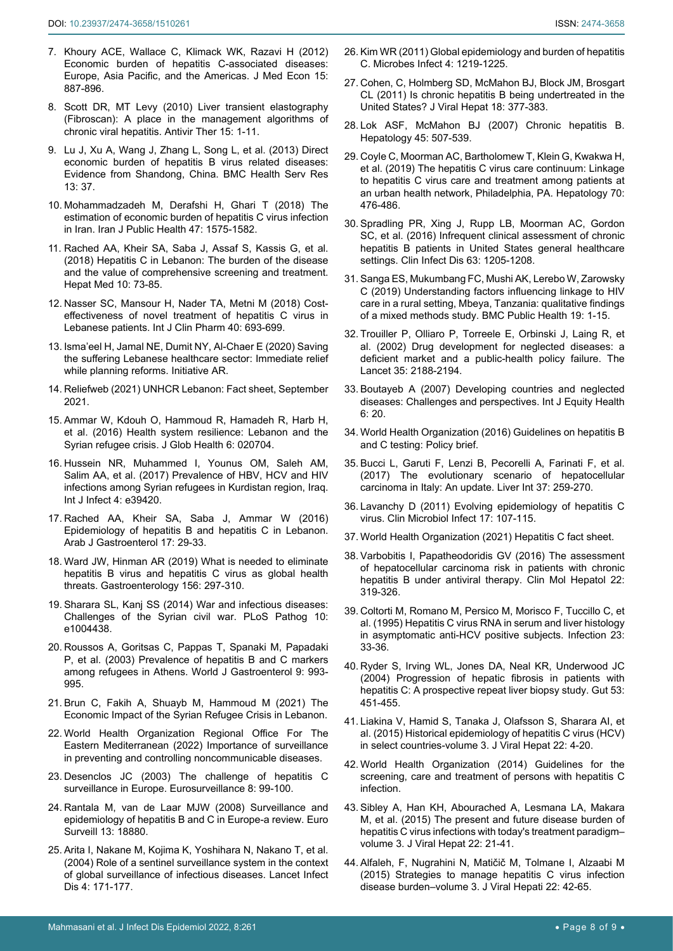- <span id="page-7-5"></span>7. [Khoury ACE, Wallace C, Klimack WK, Razavi H \(2012\)](https://pubmed.ncbi.nlm.nih.gov/22458755/)  [Economic burden of hepatitis C-associated diseases:](https://pubmed.ncbi.nlm.nih.gov/22458755/)  [Europe, Asia Pacific, and the Americas. J Med Econ 15:](https://pubmed.ncbi.nlm.nih.gov/22458755/)  [887-896.](https://pubmed.ncbi.nlm.nih.gov/22458755/)
- <span id="page-7-6"></span>8. [Scott DR, MT Levy \(2010\) Liver transient elastography](https://pubmed.ncbi.nlm.nih.gov/20167986/)  [\(Fibroscan\): A place in the management algorithms of](https://pubmed.ncbi.nlm.nih.gov/20167986/)  [chronic viral hepatitis. Antivir Ther 15: 1-11.](https://pubmed.ncbi.nlm.nih.gov/20167986/)
- <span id="page-7-7"></span>9. [Lu J, Xu A, Wang J, Zhang L, Song L, et al. \(2013\) Direct](https://pubmed.ncbi.nlm.nih.gov/23368750/)  [economic burden of hepatitis B virus related diseases:](https://pubmed.ncbi.nlm.nih.gov/23368750/)  [Evidence from Shandong, China. BMC Health Serv Res](https://pubmed.ncbi.nlm.nih.gov/23368750/)  [13: 37.](https://pubmed.ncbi.nlm.nih.gov/23368750/)
- <span id="page-7-8"></span>10. [Mohammadzadeh M, Derafshi H, Ghari T \(2018\) The](https://pubmed.ncbi.nlm.nih.gov/30524989/)  [estimation of economic burden of hepatitis C virus infection](https://pubmed.ncbi.nlm.nih.gov/30524989/)  [in Iran. Iran J Public Health 47: 1575-1582.](https://pubmed.ncbi.nlm.nih.gov/30524989/)
- <span id="page-7-9"></span>11. [Rached AA, Kheir SA, Saba J, Assaf S, Kassis G, et al.](https://pubmed.ncbi.nlm.nih.gov/30214325/)  [\(2018\) Hepatitis C in Lebanon: The burden of the disease](https://pubmed.ncbi.nlm.nih.gov/30214325/)  [and the value of comprehensive screening and treatment.](https://pubmed.ncbi.nlm.nih.gov/30214325/)  [Hepat Med 10: 73-85.](https://pubmed.ncbi.nlm.nih.gov/30214325/)
- <span id="page-7-0"></span>12. [Nasser SC, Mansour H, Nader TA, Metni M \(2018\) Cost](https://pubmed.ncbi.nlm.nih.gov/29611014/)[effectiveness of novel treatment of hepatitis C virus in](https://pubmed.ncbi.nlm.nih.gov/29611014/)  [Lebanese patients. Int J Clin Pharm 40: 693-699.](https://pubmed.ncbi.nlm.nih.gov/29611014/)
- <span id="page-7-1"></span>13. [Isma'eel H, Jamal NE, Dumit NY, Al-Chaer E \(2020\) Saving](https://www.arab-reform.net/publication/saving-the-suffering-lebanese-healthcare-sector-immediate-relief-while-planning-reforms/)  [the suffering Lebanese healthcare sector: Immediate relief](https://www.arab-reform.net/publication/saving-the-suffering-lebanese-healthcare-sector-immediate-relief-while-planning-reforms/)  [while planning reforms. Initiative AR.](https://www.arab-reform.net/publication/saving-the-suffering-lebanese-healthcare-sector-immediate-relief-while-planning-reforms/)
- <span id="page-7-2"></span>14. [Reliefweb \(2021\) UNHCR Lebanon: Fact sheet, September](https://reliefweb.int/report/lebanon/unhcr-lebanon-fact-sheet-september-2021)  [2021.](https://reliefweb.int/report/lebanon/unhcr-lebanon-fact-sheet-september-2021)
- <span id="page-7-3"></span>15. [Ammar W, Kdouh O, Hammoud R, Hamadeh R, Harb H,](https://pubmed.ncbi.nlm.nih.gov/28154758/)  [et al. \(2016\) Health system resilience: Lebanon and the](https://pubmed.ncbi.nlm.nih.gov/28154758/)  [Syrian refugee crisis. J Glob Health 6: 020704.](https://pubmed.ncbi.nlm.nih.gov/28154758/)
- <span id="page-7-4"></span>16. Hussein NR, Muhammed I, Younus OM, Saleh AM, Salim AA, et al. (2017) Prevalence of HBV, HCV and HIV infections among Syrian refugees in Kurdistan region, Iraq. Int J Infect 4: e39420.
- <span id="page-7-10"></span>17. [Rached AA, Kheir SA, Saba J, Ammar W \(2016\)](https://pubmed.ncbi.nlm.nih.gov/27032492/)  [Epidemiology of hepatitis B and hepatitis C in Lebanon.](https://pubmed.ncbi.nlm.nih.gov/27032492/)  [Arab J Gastroenterol 17: 29-33.](https://pubmed.ncbi.nlm.nih.gov/27032492/)
- <span id="page-7-11"></span>18. [Ward JW, Hinman AR \(2019\) What is needed to eliminate](https://pubmed.ncbi.nlm.nih.gov/30391470/)  [hepatitis B virus and hepatitis C virus as global health](https://pubmed.ncbi.nlm.nih.gov/30391470/)  [threats. Gastroenterology 156: 297-310.](https://pubmed.ncbi.nlm.nih.gov/30391470/)
- <span id="page-7-12"></span>19. [Sharara SL, Kanj SS \(2014\) War and infectious diseases:](https://pubmed.ncbi.nlm.nih.gov/25393545/)  [Challenges of the Syrian civil war. PLoS Pathog 10:](https://pubmed.ncbi.nlm.nih.gov/25393545/)  [e1004438.](https://pubmed.ncbi.nlm.nih.gov/25393545/)
- <span id="page-7-13"></span>20. [Roussos A, Goritsas C, Pappas T, Spanaki M, Papadaki](https://pubmed.ncbi.nlm.nih.gov/12717844/)  [P, et al. \(2003\) Prevalence of hepatitis B and C markers](https://pubmed.ncbi.nlm.nih.gov/12717844/)  [among refugees in Athens. World J Gastroenterol 9: 993-](https://pubmed.ncbi.nlm.nih.gov/12717844/) [995.](https://pubmed.ncbi.nlm.nih.gov/12717844/)
- <span id="page-7-25"></span>21. [Brun C, Fakih A, Shuayb M, Hammoud M \(2021\) The](https://wrmcouncil.org/wp-content/uploads/2021/09/Lebanon-Syrian-Refugees-WRMC.pdf)  [Economic Impact of the Syrian Refugee Crisis in Lebanon.](https://wrmcouncil.org/wp-content/uploads/2021/09/Lebanon-Syrian-Refugees-WRMC.pdf)
- <span id="page-7-14"></span>22. [World Health Organization Regional Office For The](http://www.emro.who.int/noncommunicable-diseases/publications/questions-and-answers-on-importance-of-surveillance-in-preventing-and-controlling-noncommunicable-diseases.html)  [Eastern Mediterranean \(2022\) Importance of surveillance](http://www.emro.who.int/noncommunicable-diseases/publications/questions-and-answers-on-importance-of-surveillance-in-preventing-and-controlling-noncommunicable-diseases.html)  [in preventing and controlling noncommunicable diseases.](http://www.emro.who.int/noncommunicable-diseases/publications/questions-and-answers-on-importance-of-surveillance-in-preventing-and-controlling-noncommunicable-diseases.html)
- <span id="page-7-15"></span>23. [Desenclos JC \(2003\) The challenge of hepatitis C](https://www.eurosurveillance.org/content/10.2807/esm.08.05.00409-en)  [surveillance in Europe. Eurosurveillance 8: 99-100.](https://www.eurosurveillance.org/content/10.2807/esm.08.05.00409-en)
- <span id="page-7-16"></span>24. [Rantala M, van de Laar MJW \(2008\) Surveillance and](https://pubmed.ncbi.nlm.nih.gov/18761967/)  [epidemiology of hepatitis B and C in Europe-a review. Euro](https://pubmed.ncbi.nlm.nih.gov/18761967/)  [Surveill 13: 18880.](https://pubmed.ncbi.nlm.nih.gov/18761967/)
- <span id="page-7-17"></span>25. [Arita I, Nakane M, Kojima K, Yoshihara N, Nakano T, et al.](https://pubmed.ncbi.nlm.nih.gov/14998504/)  [\(2004\) Role of a sentinel surveillance system in the context](https://pubmed.ncbi.nlm.nih.gov/14998504/)  [of global surveillance of infectious diseases. Lancet Infect](https://pubmed.ncbi.nlm.nih.gov/14998504/)  [Dis 4: 171-177.](https://pubmed.ncbi.nlm.nih.gov/14998504/)
- <span id="page-7-18"></span>26. [Kim WR \(2011\) Global epidemiology and burden of hepatitis](https://pubmed.ncbi.nlm.nih.gov/12467763/)  [C. Microbes Infect 4: 1219-1225.](https://pubmed.ncbi.nlm.nih.gov/12467763/)
- <span id="page-7-19"></span>27. [Cohen, C, Holmberg SD, McMahon BJ, Block JM, Brosgart](https://pubmed.ncbi.nlm.nih.gov/21143343/)  [CL \(2011\) Is chronic hepatitis B being undertreated in the](https://pubmed.ncbi.nlm.nih.gov/21143343/)  [United States? J Viral Hepat 18: 377-383.](https://pubmed.ncbi.nlm.nih.gov/21143343/)
- <span id="page-7-20"></span>28. [Lok ASF, McMahon BJ \(2007\) Chronic hepatitis B.](https://pubmed.ncbi.nlm.nih.gov/17256718/)  [Hepatology 45: 507-539.](https://pubmed.ncbi.nlm.nih.gov/17256718/)
- <span id="page-7-21"></span>29. [Coyle C, Moorman AC, Bartholomew T, Klein G, Kwakwa H,](https://pubmed.ncbi.nlm.nih.gov/30633811/)  [et al. \(2019\) The hepatitis C virus care continuum: Linkage](https://pubmed.ncbi.nlm.nih.gov/30633811/)  [to hepatitis C virus care and treatment among patients at](https://pubmed.ncbi.nlm.nih.gov/30633811/)  [an urban health network, Philadelphia, PA. Hepatology 70:](https://pubmed.ncbi.nlm.nih.gov/30633811/)  [476-486.](https://pubmed.ncbi.nlm.nih.gov/30633811/)
- <span id="page-7-22"></span>30. [Spradling PR, Xing J, Rupp LB, Moorman AC, Gordon](https://pubmed.ncbi.nlm.nih.gov/27486115/)  [SC, et al. \(2016\) Infrequent clinical assessment of chronic](https://pubmed.ncbi.nlm.nih.gov/27486115/)  [hepatitis B patients in United States general healthcare](https://pubmed.ncbi.nlm.nih.gov/27486115/)  [settings. Clin Infect Dis 63: 1205-1208.](https://pubmed.ncbi.nlm.nih.gov/27486115/)
- <span id="page-7-23"></span>31. [Sanga ES, Mukumbang FC, Mushi AK, Lerebo W, Zarowsky](https://pubmed.ncbi.nlm.nih.gov/30953503/)  [C \(2019\) Understanding factors influencing linkage to HIV](https://pubmed.ncbi.nlm.nih.gov/30953503/)  [care in a rural setting, Mbeya, Tanzania: qualitative findings](https://pubmed.ncbi.nlm.nih.gov/30953503/)  [of a mixed methods study. BMC Public Health 19: 1-15.](https://pubmed.ncbi.nlm.nih.gov/30953503/)
- <span id="page-7-24"></span>32. [Trouiller P, Olliaro P, Torreele E, Orbinski J, Laing R, et](https://pubmed.ncbi.nlm.nih.gov/12090998/)  [al. \(2002\) Drug development for neglected diseases: a](https://pubmed.ncbi.nlm.nih.gov/12090998/)  [deficient market and a public-health policy failure. The](https://pubmed.ncbi.nlm.nih.gov/12090998/)  [Lancet 35: 2188-2194.](https://pubmed.ncbi.nlm.nih.gov/12090998/)
- <span id="page-7-27"></span>33. [Boutayeb A \(2007\) Developing countries and neglected](https://pubmed.ncbi.nlm.nih.gov/18036265/)  [diseases: Challenges and perspectives. Int J Equity Health](https://pubmed.ncbi.nlm.nih.gov/18036265/)  [6: 20.](https://pubmed.ncbi.nlm.nih.gov/18036265/)
- <span id="page-7-28"></span>34. [World Health Organization \(2016\) Guidelines on hepatitis B](https://apps.who.int/iris/handle/10665/251330)  [and C testing: Policy brief.](https://apps.who.int/iris/handle/10665/251330)
- <span id="page-7-29"></span>35. [Bucci L, Garuti F, Lenzi B, Pecorelli A, Farinati F, et al.](https://pubmed.ncbi.nlm.nih.gov/27427866/)  [\(2017\) The evolutionary scenario of hepatocellular](https://pubmed.ncbi.nlm.nih.gov/27427866/)  [carcinoma in Italy: An update. Liver Int 37: 259-270.](https://pubmed.ncbi.nlm.nih.gov/27427866/)
- <span id="page-7-30"></span>36. [Lavanchy D \(2011\) Evolving epidemiology of hepatitis C](https://pubmed.ncbi.nlm.nih.gov/21091831/)  [virus. Clin Microbiol Infect 17: 107-115.](https://pubmed.ncbi.nlm.nih.gov/21091831/)
- <span id="page-7-31"></span>37. [World Health Organization \(2021\) Hepatitis C fact sheet.](https://www.who.int/news-room/fact-sheets/detail/hepatitis-c)
- <span id="page-7-32"></span>38. [Varbobitis I, Papatheodoridis GV \(2016\) The assessment](https://pubmed.ncbi.nlm.nih.gov/27729632/)  [of hepatocellular carcinoma risk in patients with chronic](https://pubmed.ncbi.nlm.nih.gov/27729632/)  [hepatitis B under antiviral therapy. Clin Mol Hepatol 22:](https://pubmed.ncbi.nlm.nih.gov/27729632/)  [319-326.](https://pubmed.ncbi.nlm.nih.gov/27729632/)
- <span id="page-7-33"></span>39. [Coltorti M, Romano M, Persico M, Morisco F, Tuccillo C, et](https://pubmed.ncbi.nlm.nih.gov/7538100/)  [al. \(1995\) Hepatitis C virus RNA in serum and liver histology](https://pubmed.ncbi.nlm.nih.gov/7538100/)  [in asymptomatic anti-HCV positive subjects. Infection 23:](https://pubmed.ncbi.nlm.nih.gov/7538100/)  [33-36.](https://pubmed.ncbi.nlm.nih.gov/7538100/)
- <span id="page-7-34"></span>40. [Ryder S, Irving WL, Jones DA, Neal KR, Underwood JC](https://pubmed.ncbi.nlm.nih.gov/14960533/)  [\(2004\) Progression of hepatic fibrosis in patients with](https://pubmed.ncbi.nlm.nih.gov/14960533/)  [hepatitis C: A prospective repeat liver biopsy study. Gut 53:](https://pubmed.ncbi.nlm.nih.gov/14960533/)  [451-455.](https://pubmed.ncbi.nlm.nih.gov/14960533/)
- <span id="page-7-35"></span>41. [Liakina V, Hamid S, Tanaka J, Olafsson S, Sharara AI, et](https://pubmed.ncbi.nlm.nih.gov/26513445/)  [al. \(2015\) Historical epidemiology of hepatitis C virus \(HCV\)](https://pubmed.ncbi.nlm.nih.gov/26513445/)  [in select countries-volume 3. J Viral Hepat 22: 4-20.](https://pubmed.ncbi.nlm.nih.gov/26513445/)
- <span id="page-7-36"></span>42. [World Health Organization \(2014\) Guidelines for the](https://apps.who.int/iris/bitstream/handle/10665/111747/9789241548755_eng.pdf?sequence=1)  [screening, care and treatment of persons with hepatitis C](https://apps.who.int/iris/bitstream/handle/10665/111747/9789241548755_eng.pdf?sequence=1)  [infection.](https://apps.who.int/iris/bitstream/handle/10665/111747/9789241548755_eng.pdf?sequence=1)
- <span id="page-7-26"></span>43. [Sibley A, Han KH, Abourached A, Lesmana LA, Makara](https://pubmed.ncbi.nlm.nih.gov/26513446/)  [M, et al. \(2015\) The present and future disease burden of](https://pubmed.ncbi.nlm.nih.gov/26513446/)  [hepatitis C virus infections with today's treatment paradigm–](https://pubmed.ncbi.nlm.nih.gov/26513446/) [volume 3. J Viral Hepat 22: 21-41.](https://pubmed.ncbi.nlm.nih.gov/26513446/)
- <span id="page-7-37"></span>44. [Alfaleh, F, Nugrahini N, Matičič M, Tolmane I, Alzaabi M](https://pubmed.ncbi.nlm.nih.gov/26513447/)  [\(2015\) Strategies to manage hepatitis C virus infection](https://pubmed.ncbi.nlm.nih.gov/26513447/)  [disease burden–volume 3. J Viral Hepati 22: 42-65.](https://pubmed.ncbi.nlm.nih.gov/26513447/)